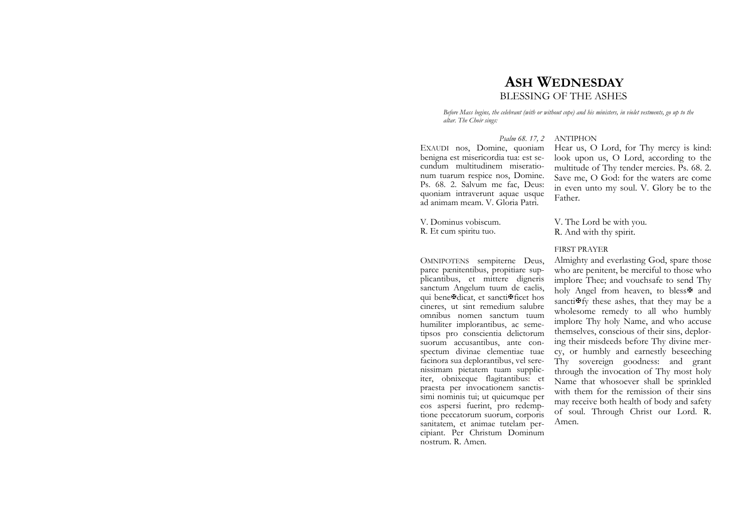# **ASH WEDNESDAY**BLESSING OF THE ASHES

*Before Mass begins, the celebrant (with or without cope) and his ministers, in violet vestments, go up to the altar. The Choir sings:* 

#### *Psalm 68. 17, 2* ANTIPHON

EXAUDI nos, Domine, quoniam benigna est misericordia tua: est secundum multitudinem miserationum tuarum respice nos, Domine. Ps. 68. 2. Salvum me fac, Deus: quoniam intraverunt aquae usque ad animam meam. V. Gloria Patri.

V. Dominus vobiscum. R. Et cum spiritu tuo.

OMNIPOTENS sempiterne Deus, parce pænitentibus, propitiare supplicantibus, et mittere digneris sanctum Angelum tuum de caelis, qui bene?dicat, et sancti?ficet hos cineres, ut sint remedium salubre omnibus nomen sanctum tuum humiliter implorantibus, ac semetipsos pro conscientia delictorum suorum accusantibus, ante conspectum divinae clementiae tuae facinora sua deplorantibus, vel serenissimam pietatem tuam suppliciter, obnixeque flagitantibus: et praesta per invocationem sanctissimi nominis tui; ut quicumque per eos aspersi fuerint, pro redemptione peccatorum suorum, corporis sanitatem, et animae tutelam percipiant. Per Christum Dominum nostrum. R. Amen.

Hear us, O Lord, for Thy mercy is kind: look upon us, O Lord, according to the multitude of Thy tender mercies. Ps. 68. 2. Save me, O God: for the waters are come in even unto my soul. V. Glory be to the Father.

V. The Lord be with you. R. And with thy spirit.

#### FIRST PRAYER

Almighty and everlasting God, spare those who are penitent, be merciful to those who implore Thee; and vouchsafe to send Thy holy Angel from heaven, to bless<sup>\$</sup> and sancti $\mathbf{F}$ fy these ashes, that they may be a wholesome remedy to all who humbly implore Thy holy Name, and who accuse themselves, conscious of their sins, deploring their misdeeds before Thy divine mercy, or humbly and earnestly beseeching Thy sovereign goodness: and grant through the invocation of Thy most holy Name that whosoever shall be sprinkled with them for the remission of their sins may receive both health of body and safety of soul. Through Christ our Lord. R. Amen.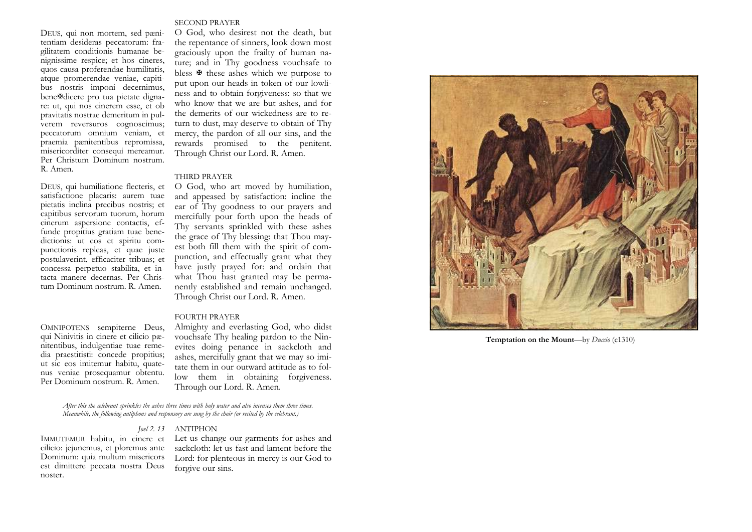#### SECOND PRAYER

DEUS, qui non mortem, sed pænitentiam desideras peccatorum: fragilitatem conditionis humanae benignissime respice; et hos cineres, quos causa proferendae humilitatis, atque promerendae veniae, capitibus nostris imponi decernimus, bene ?dicere pro tua pietate dignare: ut, qui nos cinerem esse, et ob pravitatis nostrae demeritum in pulverem reversuros cognoscimus; peccatorum omnium veniam, et praemia pænitentibus repromissa, misericorditer consequi mereamur. Per Christum Dominum nostrum. R. Amen.

DEUS, qui humiliatione flecteris, et satisfactione placaris: aurem tuae pietatis inclina precibus nostris; et capitibus servorum tuorum, horum cinerum aspersione contactis, effunde propitius gratiam tuae benedictionis: ut eos et spiritu compunctionis repleas, et quae juste postulaverint, efficaciter tribuas; et concessa perpetuo stabilita, et intacta manere decernas. Per Christum Dominum nostrum. R. Amen.

OMNIPOTENS sempiterne Deus, qui Ninivitis in cinere et cilicio pænitentibus, indulgentiae tuae remedia praestitisti: concede propitius; ut sic eos imitemur habitu, quatenus veniae prosequamur obtentu. Per Dominum nostrum. R. Amen.

O God, who desirest not the death, but the repentance of sinners, look down most graciously upon the frailty of human nature; and in Thy goodness vouchsafe to bless  $\mathbf{\Psi}$  these ashes which we purpose to put upon our heads in token of our lowliness and to obtain forgiveness: so that we who know that we are but ashes, and for the demerits of our wickedness are to return to dust, may deserve to obtain of Thy mercy, the pardon of all our sins, and the rewards promised to the penitent. Through Christ our Lord. R. Amen.

#### THIRD PRAYER

O God, who art moved by humiliation, and appeased by satisfaction: incline the ear of Thy goodness to our prayers and mercifully pour forth upon the heads of Thy servants sprinkled with these ashes the grace of Thy blessing: that Thou mayest both fill them with the spirit of compunction, and effectually grant what they have justly prayed for: and ordain that what Thou hast granted may be permanently established and remain unchanged. Through Christ our Lord. R. Amen.

### FOURTH PRAYER

Almighty and everlasting God, who didst vouchsafe Thy healing pardon to the Ninevites doing penance in sackcloth and ashes, mercifully grant that we may so imitate them in our outward attitude as to follow them in obtaining forgiveness. Through our Lord. R. Amen.

*After this the celebrant sprinkles the ashes three times with holy water and also incenses them three times. Meanwhile, the following antiphons and responsory are sung by the choir (or recited by the celebrant.)* 

#### *Joel 2. 13* ANTIPHON

IMMUTEMUR habitu, in cinere et cilicio: jejunemus, et ploremus ante Dominum: quia multum misericors est dimittere peccata nostra Deus noster.

Let us change our garments for ashes and sackcloth: let us fast and lament before the Lord: for plenteous in mercy is our God to forgive our sins.



**Temptation on the Mount**—by *Duccio* (c1310)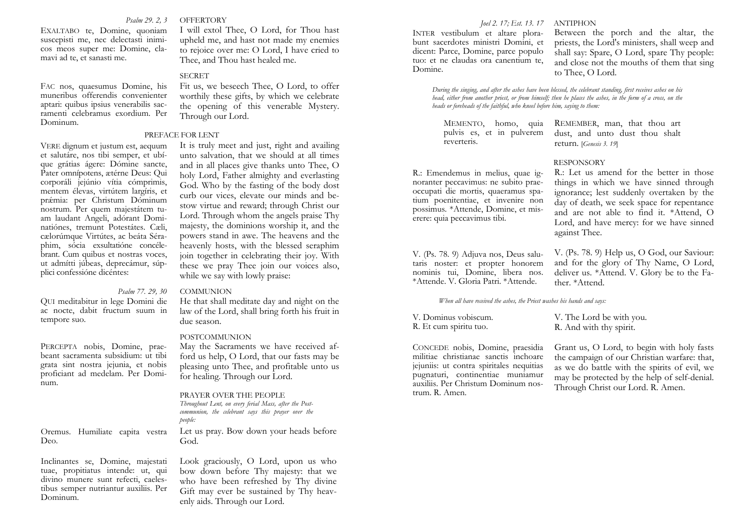#### *Psalm 29. 2, 3* OFFERTORY

EXALTABO te, Domine, quoniam suscepisti me, nec delectasti inimicos meos super me: Domine, clamavi ad te, et sanasti me.

FAC nos, quaesumus Domine, his muneribus offerendis convenienter aptari: quibus ipsius venerabilis sacramenti celebramus exordium. Per Dominum.

VERE dignum et justum est, aequum et salutáre, nos tibi semper, et ubíque grátias ágere: Dómine sancte, Pater omnípotens, ætérne Deus: Qui corporáli jejúnio vítia cómprimis, mentem élevas, virtútem largíris, et pr ǽmia: per Christum Dóminum nostrum. Per quem majestátem tuam laudant Angeli, adórant Dominatiónes, tremunt Potestátes. Cæli, cælorúmque Virtútes, ac beáta Séraphim, sócia exsultatióne concélebrant. Cum quibus et nostras voces, ut admítti júbeas, deprecámur, súpplici confessióne dicéntes:

QUI meditabitur in lege Domini die ac nocte, dabit fructum suum in tempore suo.

PERCEPTA nobis, Domine, praebeant sacramenta subsidium: ut tibi grata sint nostra jejunia, et nobis proficiant ad medelam. Per Dominum.

Oremus. Humiliate capita vestra Deo.

Inclinantes se, Domine, majestati tuae, propitiatus intende: ut, qui divino munere sunt refecti, caelestibus semper nutriantur auxiliis. Per Dominum.

I will extol Thee, O Lord, for Thou hast upheld me, and hast not made my enemies to rejoice over me: O Lord, I have cried to Thee, and Thou hast healed me.

#### **SECRET**

Fit us, we beseech Thee, O Lord, to offer worthily these gifts, by which we celebrate the opening of this venerable Mystery. Through our Lord.

#### PREFACE FOR LENT

It is truly meet and just, right and availing unto salvation, that we should at all times and in all places give thanks unto Thee, O holy Lord, Father almighty and everlasting God. Who by the fasting of the body dost curb our vices, elevate our minds and bestow virtue and reward; through Christ our Lord. Through whom the angels praise Thy majesty, the dominions worship it, and the powers stand in awe. The heavens and the heavenly hosts, with the blessed seraphim join together in celebrating their joy. With these we pray Thee join our voices also, while we say with lowly praise:

#### *Psalm 77. 29, 30* COMMUNION

He that shall meditate day and night on the law of the Lord, shall bring forth his fruit in due season.

#### POSTCOMMUNION

May the Sacraments we have received afford us help, O Lord, that our fasts may be pleasing unto Thee, and profitable unto us for healing. Through our Lord.

#### PRAYER OVER THE PEOPLE

Let us pray. Bow down your heads before God. *Throughout Lent, on every ferial Mass, after the Postcommunion, the celebrant says this prayer over the people:* 

Look graciously, O Lord, upon us who bow down before Thy majesty: that we who have been refreshed by Thy divine Gift may ever be sustained by Thy heavenly aids. Through our Lord.

#### *Joel 2. 17; Est. 13. 17* ANTIPHON

INTER vestibulum et altare plorabunt sacerdotes ministri Domini, et dicent: Parce, Domine, parce populo tuo: et ne claudas ora canentium te, Domine.

Between the porch and the altar, the priests, the Lord's ministers, shall weep and shall say: Spare, O Lord, spare Thy people: and close not the mouths of them that sing to Thee, O Lord.

*During the singing, and after the ashes have been blessed, the celebrant standing, first receives ashes on his head, either from another priest, or from himself; then he places the ashes, in the form of a cross, on the heads or foreheads of the faithful, who kneel before him, saying to them:* 

pulvis es, et in pulverem reverteris.

R.: Emendemus in melius, quae ignoranter peccavimus: ne subito praeoccupati die mortis, quaeramus spatium poenitentiae, et invenire non possimus. \*Attende, Domine, et miserere: quia peccavimus tibi.

V. (Ps. 78. 9) Adjuva nos, Deus salutaris noster: et propter honorem nominis tui, Domine, libera nos. \*Attende. V. Gloria Patri. \*Attende.

*When all have received the ashes, the Priest washes his hands and says:* 

V. Dominus vobiscum. R. Et cum spiritu tuo.

CONCEDE nobis, Domine, praesidia militiae christianae sanctis inchoare jejuniis: ut contra spiritales nequitias pugnaturi, continentiae muniamur auxiliis. Per Christum Dominum nostrum. R. Amen.

MEMENTO, homo, quia REMEMBER, man, that thou art dust, and unto dust thou shalt return. [*Genesis 3. 19*]

#### RESPONSORY

R.: Let us amend for the better in those things in which we have sinned through ignorance; lest suddenly overtaken by the day of death, we seek space for repentance and are not able to find it. \*Attend, O Lord, and have mercy: for we have sinned against Thee.

V. (Ps. 78. 9) Help us, O God, our Saviour: and for the glory of Thy Name, O Lord, deliver us. \*Attend. V. Glory be to the Father. \*Attend.

V. The Lord be with you. R. And with thy spirit.

Grant us, O Lord, to begin with holy fasts the campaign of our Christian warfare: that, as we do battle with the spirits of evil, we may be protected by the help of self-denial. Through Christ our Lord. R. Amen.